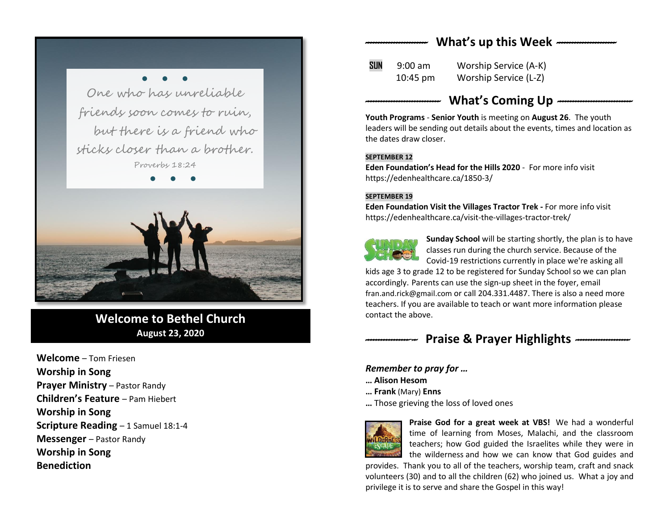# *------------------------* **What's up this Week** *-----------------------*

● ● ● One who has unreliable friends soon comes to ruin, but there is a friend who sticks closer than a brother. Proverbs 18:24



**Welcome to Bethel Church August 23, 2020**

**Welcome** – Tom Friesen **Worship in Song Prayer Ministry** – Pastor Randy **Children's Feature** – Pam Hiebert **Worship in Song Scripture Reading** – 1 Samuel 18:1-4 **Messenger** – Pastor Randy **Worship in Song Benediction**

**SUN** 9:00 am Worship Service (A-K)

10:45 pm Worship Service (L-Z)

# *-----------------------------* **What's Coming Up** *-----------------------------*

**Youth Programs** - **Senior Youth** is meeting on **August 26**. The youth leaders will be sending out details about the events, times and location as the dates draw closer.

#### **SEPTEMBER 12**

**Eden Foundation's Head for the Hills 2020** - For more info visit <https://edenhealthcare.ca/1850-3/>

#### **SEPTEMBER 19**

**Eden Foundation Visit the Villages Tractor Trek -** For more info visit <https://edenhealthcare.ca/visit-the-villages-tractor-trek/>



**Sunday School** will be starting shortly, the plan is to have classes run during the church service. Because of the Covid-19 restrictions currently in place we're asking all

kids age 3 to grade 12 to be registered for Sunday School so we can plan accordingly. Parents can use the sign-up sheet in the foyer, email [fran.and.rick@gmail.com](mailto:fran.and.rick@gmail.com) or call 204.331.4487. There is also a need more teachers. If you are available to teach or want more information please contact the above.

# *--------------------* **Praise & Prayer Highlights** *---------------------*

## *Remember to pray for …*

**… Alison Hesom** 

- **… Frank** (Mary) **Enns**
- **…** Those grieving the loss of loved ones



**Praise God for a great week at VBS!** We had a wonderful time of learning from Moses, Malachi, and the classroom teachers; how God guided the Israelites while they were in the wilderness and how we can know that God guides and

provides. Thank you to all of the teachers, worship team, craft and snack volunteers (30) and to all the children (62) who joined us. What a joy and privilege it is to serve and share the Gospel in this way!